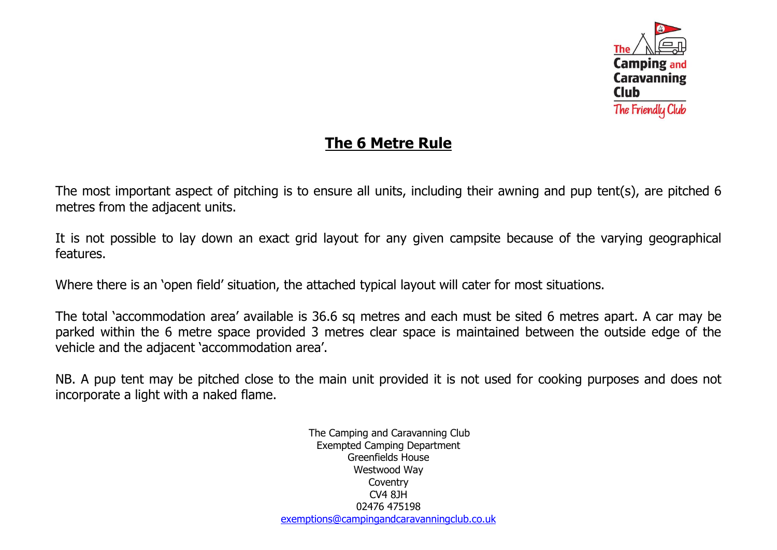

## **The 6 Metre Rule**

The most important aspect of pitching is to ensure all units, including their awning and pup tent(s), are pitched 6 metres from the adjacent units.

It is not possible to lay down an exact grid layout for any given campsite because of the varying geographical features.

Where there is an 'open field' situation, the attached typical layout will cater for most situations.

The total 'accommodation area' available is 36.6 sq metres and each must be sited 6 metres apart. A car may be parked within the 6 metre space provided 3 metres clear space is maintained between the outside edge of the vehicle and the adjacent 'accommodation area'.

NB. A pup tent may be pitched close to the main unit provided it is not used for cooking purposes and does not incorporate a light with a naked flame.

> The Camping and Caravanning Club Exempted Camping Department Greenfields House Westwood Way **Coventry** CV4 8JH 02476 475198 [exemptions@campingandcaravanningclub.co.uk](mailto:exemptions@campingandcaravanningclub.co.uk)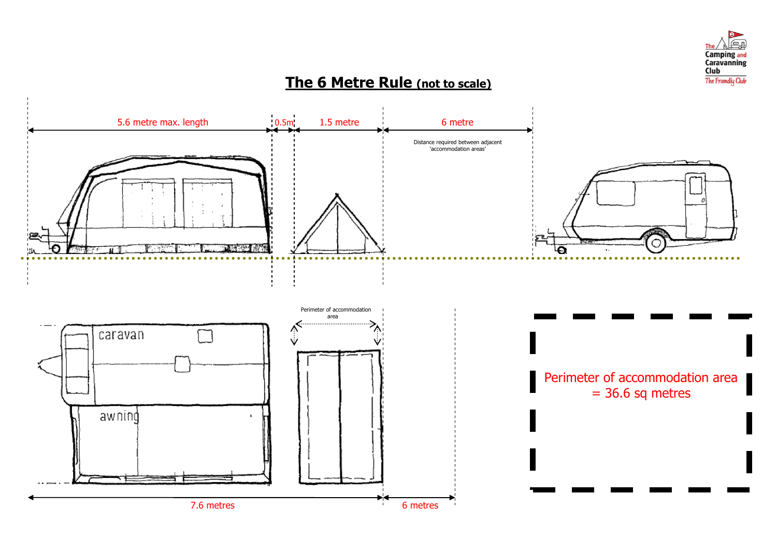

## **The 6 Metre Rule (not to scale)**